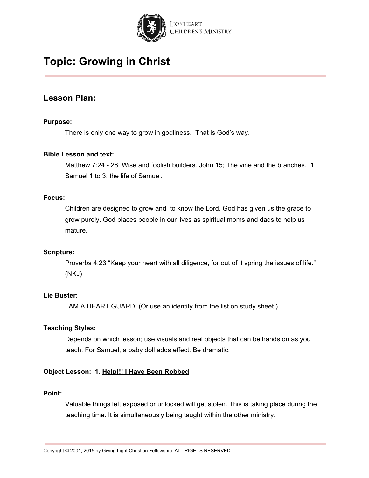

### **Lesson Plan:**

### **Purpose:**

There is only one way to grow in godliness. That is God's way.

#### **Bible Lesson and text:**

Matthew 7:24 - 28; Wise and foolish builders. John 15; The vine and the branches. 1 Samuel 1 to 3; the life of Samuel.

#### **Focus:**

Children are designed to grow and to know the Lord. God has given us the grace to grow purely. God places people in our lives as spiritual moms and dads to help us mature.

#### **Scripture:**

Proverbs 4:23 "Keep your heart with all diligence, for out of it spring the issues of life." (NKJ)

### **Lie Buster:**

I AM A HEART GUARD. (Or use an identity from the list on study sheet.)

#### **Teaching Styles:**

Depends on which lesson; use visuals and real objects that can be hands on as you teach. For Samuel, a baby doll adds effect. Be dramatic.

### **Object Lesson: 1. Help!!! I Have Been Robbed**

#### **Point:**

Valuable things left exposed or unlocked will get stolen. This is taking place during the teaching time. It is simultaneously being taught within the other ministry.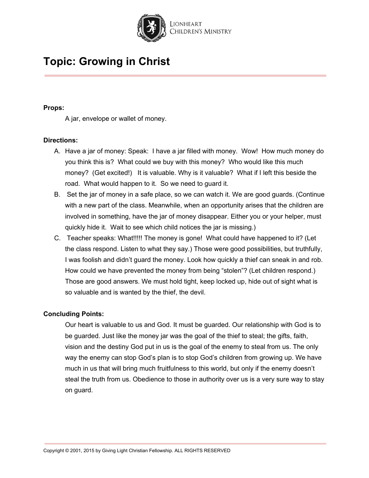

#### **Props:**

A jar, envelope or wallet of money.

#### **Directions:**

- A. Have a jar of money: Speak: I have a jar filled with money. Wow! How much money do you think this is? What could we buy with this money? Who would like this much money? (Get excited!) It is valuable. Why is it valuable? What if I left this beside the road. What would happen to it. So we need to guard it.
- B. Set the jar of money in a safe place, so we can watch it. We are good guards. (Continue with a new part of the class. Meanwhile, when an opportunity arises that the children are involved in something, have the jar of money disappear. Either you or your helper, must quickly hide it. Wait to see which child notices the jar is missing.)
- C. Teacher speaks: What!!!!! The money is gone! What could have happened to it? (Let the class respond. Listen to what they say.) Those were good possibilities, but truthfully, I was foolish and didn't guard the money. Look how quickly a thief can sneak in and rob. How could we have prevented the money from being "stolen"? (Let children respond.) Those are good answers. We must hold tight, keep locked up, hide out of sight what is so valuable and is wanted by the thief, the devil.

#### **Concluding Points:**

Our heart is valuable to us and God. It must be guarded. Our relationship with God is to be guarded. Just like the money jar was the goal of the thief to steal; the gifts, faith, vision and the destiny God put in us is the goal of the enemy to steal from us. The only way the enemy can stop God's plan is to stop God's children from growing up. We have much in us that will bring much fruitfulness to this world, but only if the enemy doesn't steal the truth from us. Obedience to those in authority over us is a very sure way to stay on guard.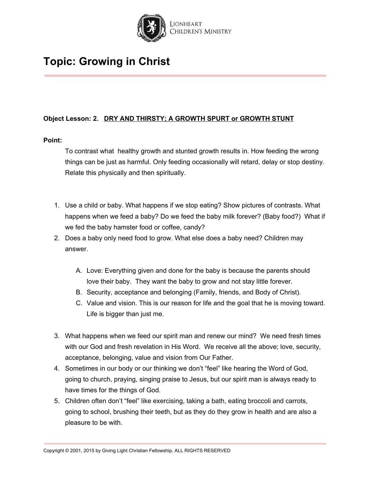

### **Object Lesson: 2. DRY AND THIRSTY; A GROWTH SPURT or GROWTH STUNT**

#### **Point:**

To contrast what healthy growth and stunted growth results in. How feeding the wrong things can be just as harmful. Only feeding occasionally will retard, delay or stop destiny. Relate this physically and then spiritually.

- 1. Use a child or baby. What happens if we stop eating? Show pictures of contrasts. What happens when we feed a baby? Do we feed the baby milk forever? (Baby food?) What if we fed the baby hamster food or coffee, candy?
- 2. Does a baby only need food to grow. What else does a baby need? Children may answer.
	- A. Love: Everything given and done for the baby is because the parents should love their baby. They want the baby to grow and not stay little forever.
	- B. Security, acceptance and belonging (Family, friends, and Body of Christ).
	- C. Value and vision. This is our reason for life and the goal that he is moving toward. Life is bigger than just me.
- 3. What happens when we feed our spirit man and renew our mind? We need fresh times with our God and fresh revelation in His Word. We receive all the above; love, security, acceptance, belonging, value and vision from Our Father.
- 4. Sometimes in our body or our thinking we don't "feel" like hearing the Word of God, going to church, praying, singing praise to Jesus, but our spirit man is always ready to have times for the things of God.
- 5. Children often don't "feel" like exercising, taking a bath, eating broccoli and carrots, going to school, brushing their teeth, but as they do they grow in health and are also a pleasure to be with.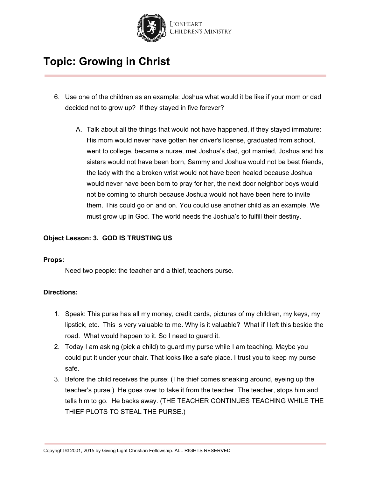

- 6. Use one of the children as an example: Joshua what would it be like if your mom or dad decided not to grow up? If they stayed in five forever?
	- A. Talk about all the things that would not have happened, if they stayed immature: His mom would never have gotten her driver's license, graduated from school, went to college, became a nurse, met Joshua's dad, got married, Joshua and his sisters would not have been born, Sammy and Joshua would not be best friends, the lady with the a broken wrist would not have been healed because Joshua would never have been born to pray for her, the next door neighbor boys would not be coming to church because Joshua would not have been here to invite them. This could go on and on. You could use another child as an example. We must grow up in God. The world needs the Joshua's to fulfill their destiny.

### **Object Lesson: 3. GOD IS TRUSTING US**

#### **Props:**

Need two people: the teacher and a thief, teachers purse.

#### **Directions:**

- 1. Speak: This purse has all my money, credit cards, pictures of my children, my keys, my lipstick, etc. This is very valuable to me. Why is it valuable? What if I left this beside the road. What would happen to it. So I need to guard it.
- 2. Today I am asking (pick a child) to guard my purse while I am teaching. Maybe you could put it under your chair. That looks like a safe place. I trust you to keep my purse safe.
- 3. Before the child receives the purse: (The thief comes sneaking around, eyeing up the teacher's purse.) He goes over to take it from the teacher. The teacher, stops him and tells him to go. He backs away. (THE TEACHER CONTINUES TEACHING WHILE THE THIEF PLOTS TO STEAL THE PURSE.)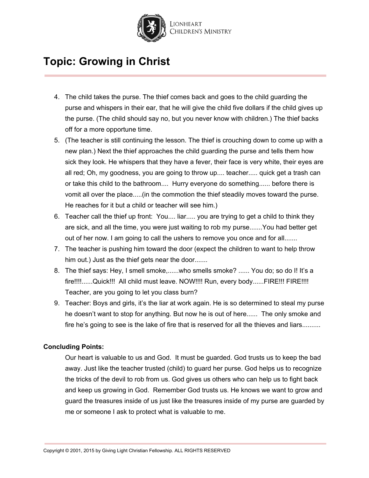

- 4. The child takes the purse. The thief comes back and goes to the child guarding the purse and whispers in their ear, that he will give the child five dollars if the child gives up the purse. (The child should say no, but you never know with children.) The thief backs off for a more opportune time.
- 5. (The teacher is still continuing the lesson. The thief is crouching down to come up with a new plan.) Next the thief approaches the child guarding the purse and tells them how sick they look. He whispers that they have a fever, their face is very white, their eyes are all red; Oh, my goodness, you are going to throw up.... teacher..... quick get a trash can or take this child to the bathroom.... Hurry everyone do something...... before there is vomit all over the place.....(in the commotion the thief steadily moves toward the purse. He reaches for it but a child or teacher will see him.)
- 6. Teacher call the thief up front: You.... liar..... you are trying to get a child to think they are sick, and all the time, you were just waiting to rob my purse.......You had better get out of her now. I am going to call the ushers to remove you once and for all.......
- 7. The teacher is pushing him toward the door (expect the children to want to help throw him out.) Just as the thief gets near the door.......
- 8. The thief says: Hey, I smell smoke,......who smells smoke? ...... You do; so do I! It's a fire!!!!......Quick!!! All child must leave. NOW!!!! Run, every body......FIRE!!! FIRE!!!! Teacher, are you going to let you class burn?
- 9. Teacher: Boys and girls, it's the liar at work again. He is so determined to steal my purse he doesn't want to stop for anything. But now he is out of here...... The only smoke and fire he's going to see is the lake of fire that is reserved for all the thieves and liars..........

#### **Concluding Points:**

Our heart is valuable to us and God. It must be guarded. God trusts us to keep the bad away. Just like the teacher trusted (child) to guard her purse. God helps us to recognize the tricks of the devil to rob from us. God gives us others who can help us to fight back and keep us growing in God. Remember God trusts us. He knows we want to grow and guard the treasures inside of us just like the treasures inside of my purse are guarded by me or someone I ask to protect what is valuable to me.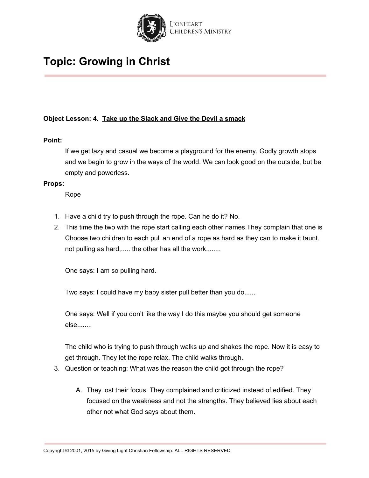

### **Object Lesson: 4. Take up the Slack and Give the Devil a smack**

#### **Point:**

If we get lazy and casual we become a playground for the enemy. Godly growth stops and we begin to grow in the ways of the world. We can look good on the outside, but be empty and powerless.

#### **Props:**

Rope

- 1. Have a child try to push through the rope. Can he do it? No.
- 2. This time the two with the rope start calling each other names.They complain that one is Choose two children to each pull an end of a rope as hard as they can to make it taunt. not pulling as hard,..... the other has all the work........

One says: I am so pulling hard.

Two says: I could have my baby sister pull better than you do......

One says: Well if you don't like the way I do this maybe you should get someone else........

The child who is trying to push through walks up and shakes the rope. Now it is easy to get through. They let the rope relax. The child walks through.

- 3. Question or teaching: What was the reason the child got through the rope?
	- A. They lost their focus. They complained and criticized instead of edified. They focused on the weakness and not the strengths. They believed lies about each other not what God says about them.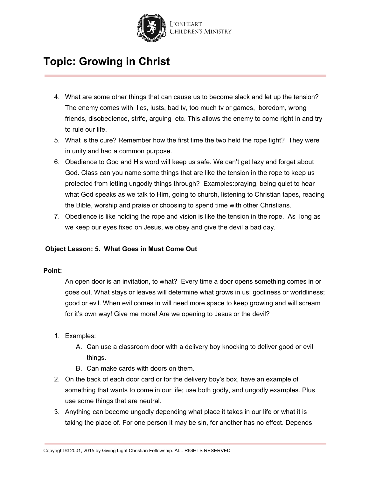

- 4. What are some other things that can cause us to become slack and let up the tension? The enemy comes with lies, lusts, bad tv, too much tv or games, boredom, wrong friends, disobedience, strife, arguing etc. This allows the enemy to come right in and try to rule our life.
- 5. What is the cure? Remember how the first time the two held the rope tight? They were in unity and had a common purpose.
- 6. Obedience to God and His word will keep us safe. We can't get lazy and forget about God. Class can you name some things that are like the tension in the rope to keep us protected from letting ungodly things through? Examples:praying, being quiet to hear what God speaks as we talk to Him, going to church, listening to Christian tapes, reading the Bible, worship and praise or choosing to spend time with other Christians.
- 7. Obedience is like holding the rope and vision is like the tension in the rope. As long as we keep our eyes fixed on Jesus, we obey and give the devil a bad day.

### **Object Lesson: 5. What Goes in Must Come Out**

#### **Point:**

An open door is an invitation, to what? Every time a door opens something comes in or goes out. What stays or leaves will determine what grows in us; godliness or worldliness; good or evil. When evil comes in will need more space to keep growing and will scream for it's own way! Give me more! Are we opening to Jesus or the devil?

- 1. Examples:
	- A. Can use a classroom door with a delivery boy knocking to deliver good or evil things.
	- B. Can make cards with doors on them.
- 2. On the back of each door card or for the delivery boy's box, have an example of something that wants to come in our life; use both godly, and ungodly examples. Plus use some things that are neutral.
- 3. Anything can become ungodly depending what place it takes in our life or what it is taking the place of. For one person it may be sin, for another has no effect. Depends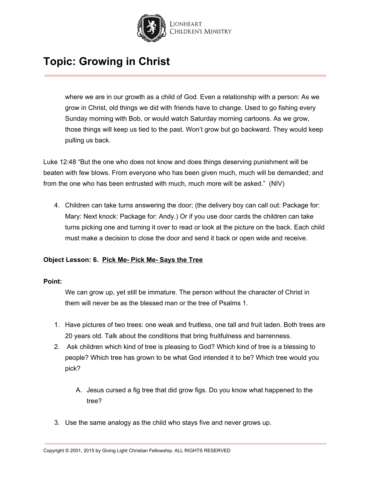

where we are in our growth as a child of God. Even a relationship with a person: As we grow in Christ, old things we did with friends have to change. Used to go fishing every Sunday morning with Bob, or would watch Saturday morning cartoons. As we grow, those things will keep us tied to the past. Won't grow but go backward. They would keep pulling us back.

Luke 12:48 "But the one who does not know and does things deserving punishment will be beaten with few blows. From everyone who has been given much, much will be demanded; and from the one who has been entrusted with much, much more will be asked." (NIV)

4. Children can take turns answering the door; (the delivery boy can call out: Package for: Mary: Next knock: Package for: Andy.) Or if you use door cards the children can take turns picking one and turning it over to read or look at the picture on the back. Each child must make a decision to close the door and send it back or open wide and receive.

### **Object Lesson: 6. Pick Me- Pick Me- Says the Tree**

#### **Point:**

We can grow up, yet still be immature. The person without the character of Christ in them will never be as the blessed man or the tree of Psalms 1.

- 1. Have pictures of two trees: one weak and fruitless, one tall and fruit laden. Both trees are 20 years old. Talk about the conditions that bring fruitfulness and barrenness.
- 2. Ask children which kind of tree is pleasing to God? Which kind of tree is a blessing to people? Which tree has grown to be what God intended it to be? Which tree would you pick?
	- A. Jesus cursed a fig tree that did grow figs. Do you know what happened to the tree?
- 3. Use the same analogy as the child who stays five and never grows up.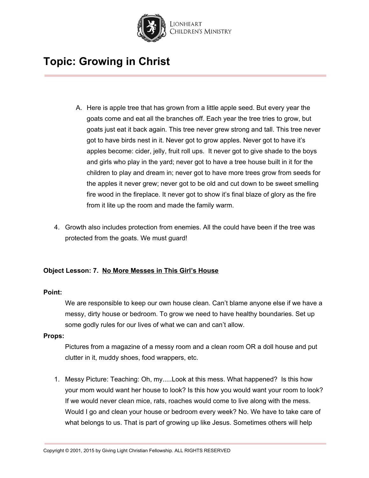

- A. Here is apple tree that has grown from a little apple seed. But every year the goats come and eat all the branches off. Each year the tree tries to grow, but goats just eat it back again. This tree never grew strong and tall. This tree never got to have birds nest in it. Never got to grow apples. Never got to have it's apples become: cider, jelly, fruit roll ups. It never got to give shade to the boys and girls who play in the yard; never got to have a tree house built in it for the children to play and dream in; never got to have more trees grow from seeds for the apples it never grew; never got to be old and cut down to be sweet smelling fire wood in the fireplace. It never got to show it's final blaze of glory as the fire from it lite up the room and made the family warm.
- 4. Growth also includes protection from enemies. All the could have been if the tree was protected from the goats. We must guard!

### **Object Lesson: 7. No More Messes in This Girl's House**

#### **Point:**

We are responsible to keep our own house clean. Can't blame anyone else if we have a messy, dirty house or bedroom. To grow we need to have healthy boundaries. Set up some godly rules for our lives of what we can and can't allow.

#### **Props:**

Pictures from a magazine of a messy room and a clean room OR a doll house and put clutter in it, muddy shoes, food wrappers, etc.

1. Messy Picture: Teaching: Oh, my.....Look at this mess. What happened? Is this how your mom would want her house to look? Is this how you would want your room to look? If we would never clean mice, rats, roaches would come to live along with the mess. Would I go and clean your house or bedroom every week? No. We have to take care of what belongs to us. That is part of growing up like Jesus. Sometimes others will help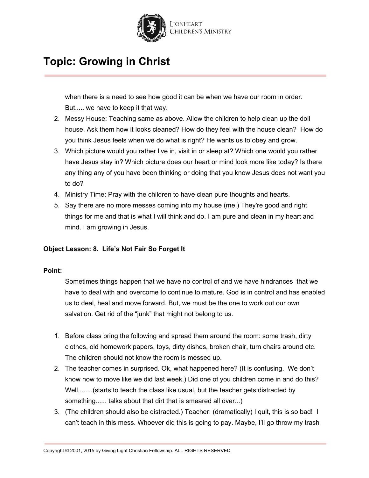

when there is a need to see how good it can be when we have our room in order. But..... we have to keep it that way.

- 2. Messy House: Teaching same as above. Allow the children to help clean up the doll house. Ask them how it looks cleaned? How do they feel with the house clean? How do you think Jesus feels when we do what is right? He wants us to obey and grow.
- 3. Which picture would you rather live in, visit in or sleep at? Which one would you rather have Jesus stay in? Which picture does our heart or mind look more like today? Is there any thing any of you have been thinking or doing that you know Jesus does not want you to do?
- 4. Ministry Time: Pray with the children to have clean pure thoughts and hearts.
- 5. Say there are no more messes coming into my house (me.) They're good and right things for me and that is what I will think and do. I am pure and clean in my heart and mind. I am growing in Jesus.

### **Object Lesson: 8. Life's Not Fair So Forget It**

#### **Point:**

Sometimes things happen that we have no control of and we have hindrances that we have to deal with and overcome to continue to mature. God is in control and has enabled us to deal, heal and move forward. But, we must be the one to work out our own salvation. Get rid of the "junk" that might not belong to us.

- 1. Before class bring the following and spread them around the room: some trash, dirty clothes, old homework papers, toys, dirty dishes, broken chair, turn chairs around etc. The children should not know the room is messed up.
- 2. The teacher comes in surprised. Ok, what happened here? (It is confusing. We don't know how to move like we did last week.) Did one of you children come in and do this? Well,.......(starts to teach the class like usual, but the teacher gets distracted by something...... talks about that dirt that is smeared all over...)
- 3. (The children should also be distracted.) Teacher: (dramatically) I quit, this is so bad! I can't teach in this mess. Whoever did this is going to pay. Maybe, I'll go throw my trash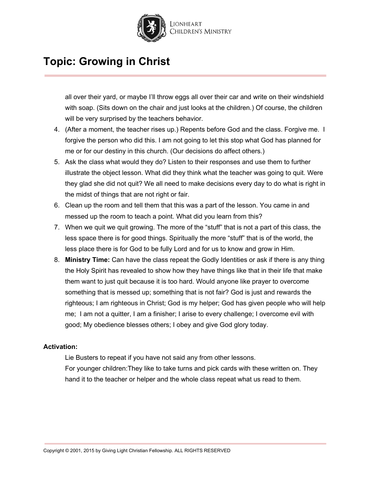

all over their yard, or maybe I'll throw eggs all over their car and write on their windshield with soap. (Sits down on the chair and just looks at the children.) Of course, the children will be very surprised by the teachers behavior.

- 4. (After a moment, the teacher rises up.) Repents before God and the class. Forgive me. I forgive the person who did this. I am not going to let this stop what God has planned for me or for our destiny in this church. (Our decisions do affect others.)
- 5. Ask the class what would they do? Listen to their responses and use them to further illustrate the object lesson. What did they think what the teacher was going to quit. Were they glad she did not quit? We all need to make decisions every day to do what is right in the midst of things that are not right or fair.
- 6. Clean up the room and tell them that this was a part of the lesson. You came in and messed up the room to teach a point. What did you learn from this?
- 7. When we quit we quit growing. The more of the "stuff" that is not a part of this class, the less space there is for good things. Spiritually the more "stuff" that is of the world, the less place there is for God to be fully Lord and for us to know and grow in Him.
- 8. **Ministry Time:** Can have the class repeat the Godly Identities or ask if there is any thing the Holy Spirit has revealed to show how they have things like that in their life that make them want to just quit because it is too hard. Would anyone like prayer to overcome something that is messed up; something that is not fair? God is just and rewards the righteous; I am righteous in Christ; God is my helper; God has given people who will help me; I am not a quitter, I am a finisher; I arise to every challenge; I overcome evil with good; My obedience blesses others; I obey and give God glory today.

#### **Activation:**

Lie Busters to repeat if you have not said any from other lessons.

For younger children:They like to take turns and pick cards with these written on. They hand it to the teacher or helper and the whole class repeat what us read to them.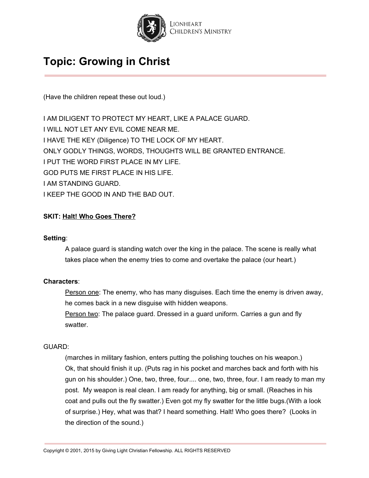

(Have the children repeat these out loud.)

I AM DILIGENT TO PROTECT MY HEART, LIKE A PALACE GUARD. I WILL NOT LET ANY EVIL COME NEAR ME. I HAVE THE KEY (Diligence) TO THE LOCK OF MY HEART. ONLY GODLY THINGS, WORDS, THOUGHTS WILL BE GRANTED ENTRANCE. I PUT THE WORD FIRST PLACE IN MY LIFE. GOD PUTS ME FIRST PLACE IN HIS LIFE. I AM STANDING GUARD. I KEEP THE GOOD IN AND THE BAD OUT.

### **SKIT: Halt! Who Goes There?**

#### **Setting**:

A palace guard is standing watch over the king in the palace. The scene is really what takes place when the enemy tries to come and overtake the palace (our heart.)

#### **Characters**:

Person one: The enemy, who has many disguises. Each time the enemy is driven away, he comes back in a new disguise with hidden weapons.

Person two: The palace guard. Dressed in a guard uniform. Carries a gun and fly swatter.

#### GUARD:

(marches in military fashion, enters putting the polishing touches on his weapon.) Ok, that should finish it up. (Puts rag in his pocket and marches back and forth with his gun on his shoulder.) One, two, three, four.... one, two, three, four. I am ready to man my post. My weapon is real clean. I am ready for anything, big or small. (Reaches in his coat and pulls out the fly swatter.) Even got my fly swatter for the little bugs.(With a look of surprise.) Hey, what was that? I heard something. Halt! Who goes there? (Looks in the direction of the sound.)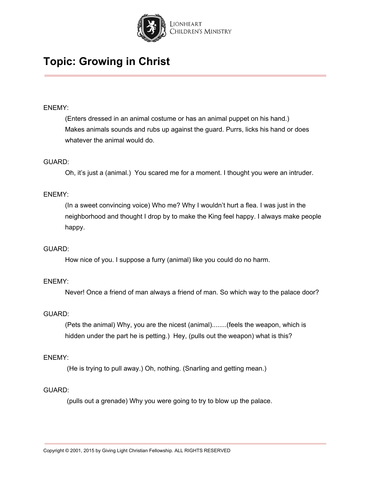

#### ENEMY:

(Enters dressed in an animal costume or has an animal puppet on his hand.) Makes animals sounds and rubs up against the guard. Purrs, licks his hand or does whatever the animal would do.

#### GUARD:

Oh, it's just a (animal.) You scared me for a moment. I thought you were an intruder.

#### ENEMY:

(In a sweet convincing voice) Who me? Why I wouldn't hurt a flea. I was just in the neighborhood and thought I drop by to make the King feel happy. I always make people happy.

#### GUARD:

How nice of you. I suppose a furry (animal) like you could do no harm.

#### ENEMY:

Never! Once a friend of man always a friend of man. So which way to the palace door?

#### GUARD:

(Pets the animal) Why, you are the nicest (animal)........(feels the weapon, which is hidden under the part he is petting.) Hey, (pulls out the weapon) what is this?

#### ENEMY:

(He is trying to pull away.) Oh, nothing. (Snarling and getting mean.)

#### GUARD:

(pulls out a grenade) Why you were going to try to blow up the palace.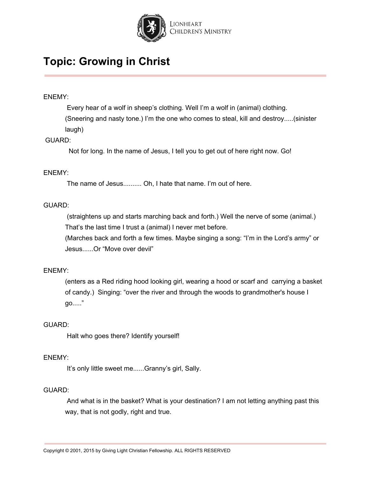

#### ENEMY:

Every hear of a wolf in sheep's clothing. Well I'm a wolf in (animal) clothing. (Sneering and nasty tone.) I'm the one who comes to steal, kill and destroy.....(sinister laugh)

#### GUARD:

Not for long. In the name of Jesus, I tell you to get out of here right now. Go!

#### ENEMY:

The name of Jesus.......... Oh, I hate that name. I'm out of here.

#### GUARD:

(straightens up and starts marching back and forth.) Well the nerve of some (animal.) That's the last time I trust a (animal) I never met before.

(Marches back and forth a few times. Maybe singing a song: "I'm in the Lord's army" or Jesus......Or "Move over devil"

#### ENEMY:

(enters as a Red riding hood looking girl, wearing a hood or scarf and carrying a basket of candy.) Singing: "over the river and through the woods to grandmother's house I go....."

#### GUARD:

Halt who goes there? Identify yourself!

#### ENEMY:

It's only little sweet me......Granny's girl, Sally.

#### GUARD:

And what is in the basket? What is your destination? I am not letting anything past this way, that is not godly, right and true.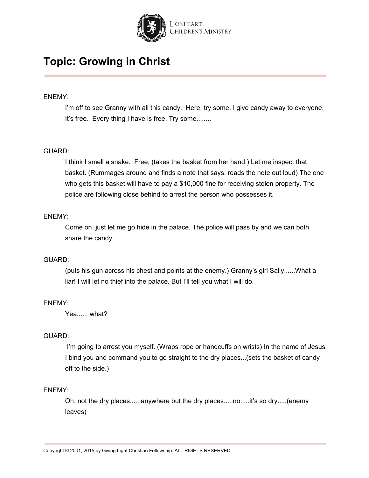

#### ENEMY:

I'm off to see Granny with all this candy. Here, try some, I give candy away to everyone. It's free. Every thing I have is free. Try some........

#### GUARD:

I think I smell a snake. Free, (takes the basket from her hand.) Let me inspect that basket. (Rummages around and finds a note that says: reads the note out loud) The one who gets this basket will have to pay a \$10,000 fine for receiving stolen property. The police are following close behind to arrest the person who possesses it.

#### ENEMY:

Come on, just let me go hide in the palace. The police will pass by and we can both share the candy.

#### GUARD:

(puts his gun across his chest and points at the enemy.) Granny's girl Sally......What a liar! I will let no thief into the palace. But I'll tell you what I will do.

#### ENEMY:

Yea,..... what?

#### GUARD:

I'm going to arrest you myself. (Wraps rope or handcuffs on wrists) In the name of Jesus I bind you and command you to go straight to the dry places...(sets the basket of candy off to the side.)

#### ENEMY:

Oh, not the dry places......anywhere but the dry places.....no.....it's so dry.....(enemy leaves)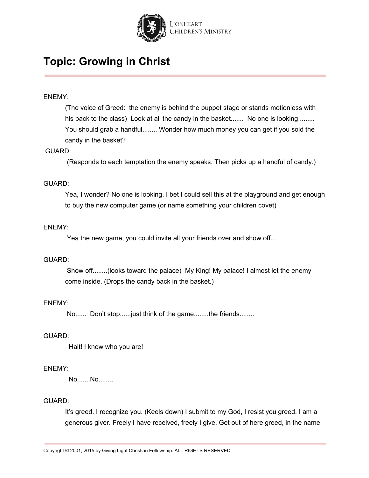

#### ENEMY:

(The voice of Greed: the enemy is behind the puppet stage or stands motionless with his back to the class) Look at all the candy in the basket....... No one is looking......... You should grab a handful........ Wonder how much money you can get if you sold the candy in the basket?

#### GUARD:

(Responds to each temptation the enemy speaks. Then picks up a handful of candy.)

#### GUARD:

Yea, I wonder? No one is looking. I bet I could sell this at the playground and get enough to buy the new computer game (or name something your children covet)

#### ENEMY:

Yea the new game, you could invite all your friends over and show off...

#### GUARD:

Show off........(looks toward the palace) My King! My palace! I almost let the enemy come inside. (Drops the candy back in the basket.)

#### ENEMY:

No...... Don't stop......just think of the game........the friends........

#### GUARD:

Halt! I know who you are!

#### ENEMY:

No.......No........

#### GUARD:

It's greed. I recognize you. (Keels down) I submit to my God, I resist you greed. I am a generous giver. Freely I have received, freely I give. Get out of here greed, in the name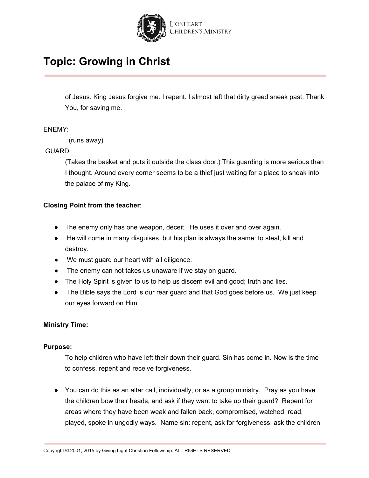

of Jesus. King Jesus forgive me. I repent. I almost left that dirty greed sneak past. Thank You, for saving me.

#### ENEMY:

(runs away)

### GUARD:

(Takes the basket and puts it outside the class door.) This guarding is more serious than I thought. Around every corner seems to be a thief just waiting for a place to sneak into the palace of my King.

#### **Closing Point from the teacher**:

- The enemy only has one weapon, deceit. He uses it over and over again.
- He will come in many disguises, but his plan is always the same: to steal, kill and destroy.
- We must guard our heart with all diligence.
- The enemy can not takes us unaware if we stay on guard.
- The Holy Spirit is given to us to help us discern evil and good; truth and lies.
- The Bible says the Lord is our rear guard and that God goes before us. We just keep our eyes forward on Him.

#### **Ministry Time:**

#### **Purpose:**

To help children who have left their down their guard. Sin has come in. Now is the time to confess, repent and receive forgiveness.

● You can do this as an altar call, individually, or as a group ministry. Pray as you have the children bow their heads, and ask if they want to take up their guard? Repent for areas where they have been weak and fallen back, compromised, watched, read, played, spoke in ungodly ways. Name sin: repent, ask for forgiveness, ask the children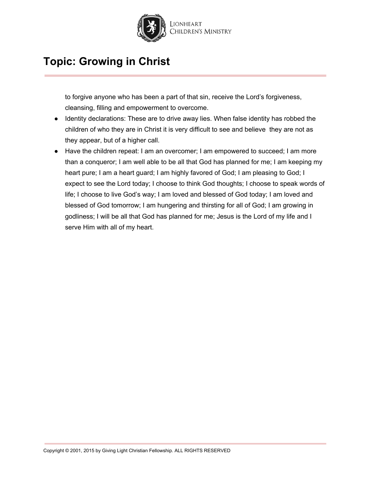

to forgive anyone who has been a part of that sin, receive the Lord's forgiveness, cleansing, filling and empowerment to overcome.

- Identity declarations: These are to drive away lies. When false identity has robbed the children of who they are in Christ it is very difficult to see and believe they are not as they appear, but of a higher call.
- Have the children repeat: I am an overcomer; I am empowered to succeed; I am more than a conqueror; I am well able to be all that God has planned for me; I am keeping my heart pure; I am a heart guard; I am highly favored of God; I am pleasing to God; I expect to see the Lord today; I choose to think God thoughts; I choose to speak words of life; I choose to live God's way; I am loved and blessed of God today; I am loved and blessed of God tomorrow; I am hungering and thirsting for all of God; I am growing in godliness; I will be all that God has planned for me; Jesus is the Lord of my life and I serve Him with all of my heart.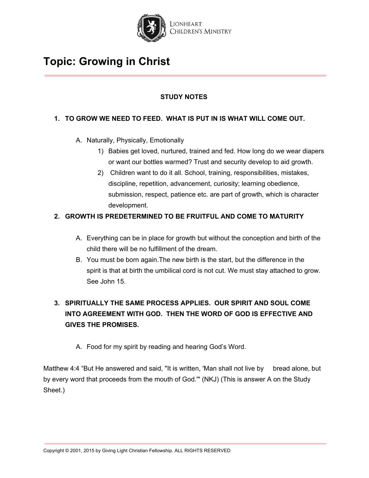

### **STUDY NOTES**

### **1. TO GROW WE NEED TO FEED. WHAT IS PUT IN IS WHAT WILL COME OUT.**

- A. Naturally, Physically, Emotionally
	- 1) Babies get loved, nurtured, trained and fed. How long do we wear diapers or want our bottles warmed? Trust and security develop to aid growth.
	- 2) Children want to do it all. School, training, responsibilities, mistakes, discipline, repetition, advancement, curiosity; learning obedience, submission, respect, patience etc. are part of growth, which is character development.

### **2. GROWTH IS PREDETERMINED TO BE FRUITFUL AND COME TO MATURITY**

- A. Everything can be in place for growth but without the conception and birth of the child there will be no fulfillment of the dream.
- B. You must be born again.The new birth is the start, but the difference in the spirit is that at birth the umbilical cord is not cut. We must stay attached to grow. See John 15.

### **3. SPIRITUALLY THE SAME PROCESS APPLIES. OUR SPIRIT AND SOUL COME INTO AGREEMENT WITH GOD. THEN THE WORD OF GOD IS EFFECTIVE AND GIVES THE PROMISES.**

A. Food for my spirit by reading and hearing God's Word.

Matthew 4:4 "But He answered and said, "It is written, 'Man shall not live by bread alone, but by every word that proceeds from the mouth of God.'" (NKJ) (This is answer A on the Study Sheet.)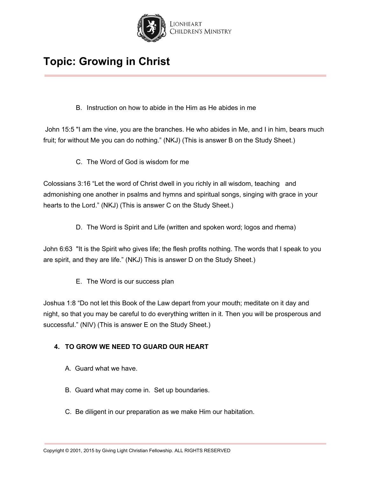

B. Instruction on how to abide in the Him as He abides in me

John 15:5 "I am the vine, you are the branches. He who abides in Me, and I in him, bears much fruit; for without Me you can do nothing." (NKJ) (This is answer B on the Study Sheet.)

C. The Word of God is wisdom for me

Colossians 3:16 "Let the word of Christ dwell in you richly in all wisdom, teaching and admonishing one another in psalms and hymns and spiritual songs, singing with grace in your hearts to the Lord." (NKJ) (This is answer C on the Study Sheet.)

D. The Word is Spirit and Life (written and spoken word; logos and rhema)

John 6:63 "It is the Spirit who gives life; the flesh profits nothing. The words that I speak to you are spirit, and they are life." (NKJ) This is answer D on the Study Sheet.)

E. The Word is our success plan

Joshua 1:8 "Do not let this Book of the Law depart from your mouth; meditate on it day and night, so that you may be careful to do everything written in it. Then you will be prosperous and successful." (NIV) (This is answer E on the Study Sheet.)

### **4. TO GROW WE NEED TO GUARD OUR HEART**

- A. Guard what we have.
- B. Guard what may come in. Set up boundaries.
- C. Be diligent in our preparation as we make Him our habitation.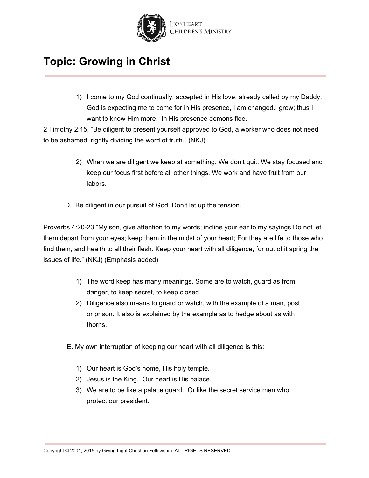

1) I come to my God continually, accepted in His love, already called by my Daddy. God is expecting me to come for in His presence, I am changed.I grow; thus I want to know Him more. In His presence demons flee.

2 Timothy 2:15, "Be diligent to present yourself approved to God, a worker who does not need to be ashamed, rightly dividing the word of truth." (NKJ)

- 2) When we are diligent we keep at something. We don't quit. We stay focused and keep our focus first before all other things. We work and have fruit from our labors.
- D. Be diligent in our pursuit of God. Don't let up the tension.

Proverbs 4:20-23 "My son, give attention to my words; incline your ear to my sayings.Do not let them depart from your eyes; keep them in the midst of your heart; For they are life to those who find them, and health to all their flesh. Keep your heart with all diligence, for out of it spring the issues of life." (NKJ) (Emphasis added)

- 1) The word keep has many meanings. Some are to watch, guard as from danger, to keep secret, to keep closed.
- 2) Diligence also means to guard or watch, with the example of a man, post or prison. It also is explained by the example as to hedge about as with thorns.
- E. My own interruption of keeping our heart with all diligence is this:
	- 1) Our heart is God's home, His holy temple.
	- 2) Jesus is the King. Our heart is His palace.
	- 3) We are to be like a palace guard. Or like the secret service men who protect our president.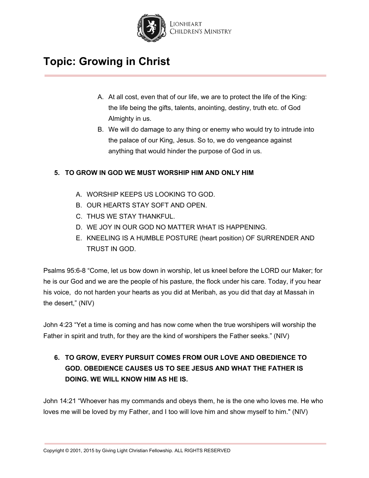

- A. At all cost, even that of our life, we are to protect the life of the King: the life being the gifts, talents, anointing, destiny, truth etc. of God Almighty in us.
- B. We will do damage to any thing or enemy who would try to intrude into the palace of our King, Jesus. So to, we do vengeance against anything that would hinder the purpose of God in us.

### **5. TO GROW IN GOD WE MUST WORSHIP HIM AND ONLY HIM**

- A. WORSHIP KEEPS US LOOKING TO GOD.
- B. OUR HEARTS STAY SOFT AND OPEN.
- C. THUS WE STAY THANKFUL.
- D. WE JOY IN OUR GOD NO MATTER WHAT IS HAPPENING.
- E. KNEELING IS A HUMBLE POSTURE (heart position) OF SURRENDER AND TRUST IN GOD.

Psalms 95:6-8 "Come, let us bow down in worship, let us kneel before the LORD our Maker; for he is our God and we are the people of his pasture, the flock under his care. Today, if you hear his voice, do not harden your hearts as you did at Meribah, as you did that day at Massah in the desert," (NIV)

John 4:23 "Yet a time is coming and has now come when the true worshipers will worship the Father in spirit and truth, for they are the kind of worshipers the Father seeks." (NIV)

### **6. TO GROW, EVERY PURSUIT COMES FROM OUR LOVE AND OBEDIENCE TO GOD. OBEDIENCE CAUSES US TO SEE JESUS AND WHAT THE FATHER IS DOING. WE WILL KNOW HIM AS HE IS.**

John 14:21 "Whoever has my commands and obeys them, he is the one who loves me. He who loves me will be loved by my Father, and I too will love him and show myself to him." (NIV)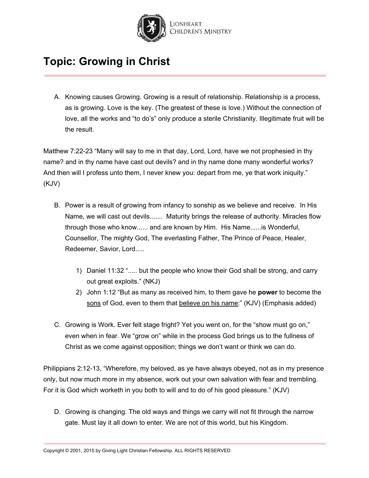

A. Knowing causes Growing. Growing is a result of relationship. Relationship is a process, as is growing. Love is the key. (The greatest of these is love.) Without the connection of love, all the works and "to do's" only produce a sterile Christianity. Illegitimate fruit will be the result.

Matthew 7:22-23 "Many will say to me in that day, Lord, Lord, have we not prophesied in thy name? and in thy name have cast out devils? and in thy name done many wonderful works? And then will I profess unto them, I never knew you: depart from me, ye that work iniquity." (KJV)

- B. Power is a result of growing from infancy to sonship as we believe and receive. In His Name, we will cast out devils....... Maturity brings the release of authority. Miracles flow through those who know...... and are known by Him. His Name......is Wonderful, Counsellor, The mighty God, The everlasting Father, The Prince of Peace, Healer, Redeemer, Savior, Lord.....
	- 1) Daniel 11:32 "..... but the people who know their God shall be strong, and carry out great exploits." (NKJ)
	- 2) John 1:12 "But as many as received him, to them gave he **power** to become the sons of God, even to them that believe on his name:" (KJV) (Emphasis added)
- C. Growing is Work. Ever felt stage fright? Yet you went on, for the "show must go on," even when in fear. We "grow on" while in the process God brings us to the fullness of Christ as we come against opposition; things we don't want or think we can do.

Philippians 2:12-13, "Wherefore, my beloved, as ye have always obeyed, not as in my presence only, but now much more in my absence, work out your own salvation with fear and trembling. For it is God which worketh in you both to will and to do of his good pleasure." (KJV)

D. Growing is changing. The old ways and things we carry will not fit through the narrow gate. Must lay it all down to enter. We are not of this world, but his Kingdom.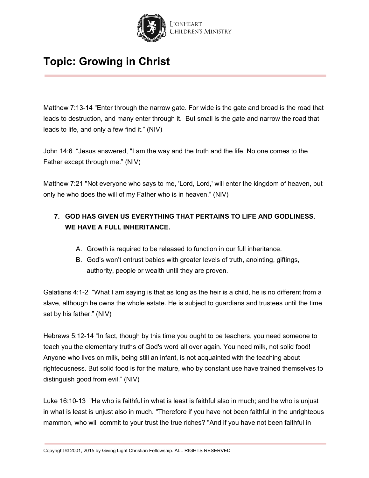

Matthew 7:13-14 "Enter through the narrow gate. For wide is the gate and broad is the road that leads to destruction, and many enter through it. But small is the gate and narrow the road that leads to life, and only a few find it." (NIV)

John 14:6 "Jesus answered, "I am the way and the truth and the life. No one comes to the Father except through me." (NIV)

Matthew 7:21 "Not everyone who says to me, 'Lord, Lord,' will enter the kingdom of heaven, but only he who does the will of my Father who is in heaven." (NIV)

### **7. GOD HAS GIVEN US EVERYTHING THAT PERTAINS TO LIFE AND GODLINESS. WE HAVE A FULL INHERITANCE.**

- A. Growth is required to be released to function in our full inheritance.
- B. God's won't entrust babies with greater levels of truth, anointing, giftings, authority, people or wealth until they are proven.

Galatians 4:1-2 "What I am saying is that as long as the heir is a child, he is no different from a slave, although he owns the whole estate. He is subject to guardians and trustees until the time set by his father." (NIV)

Hebrews 5:12-14 "In fact, though by this time you ought to be teachers, you need someone to teach you the elementary truths of God's word all over again. You need milk, not solid food! Anyone who lives on milk, being still an infant, is not acquainted with the teaching about righteousness. But solid food is for the mature, who by constant use have trained themselves to distinguish good from evil." (NIV)

Luke 16:10-13 "He who is faithful in what is least is faithful also in much; and he who is unjust in what is least is unjust also in much. "Therefore if you have not been faithful in the unrighteous mammon, who will commit to your trust the true riches? "And if you have not been faithful in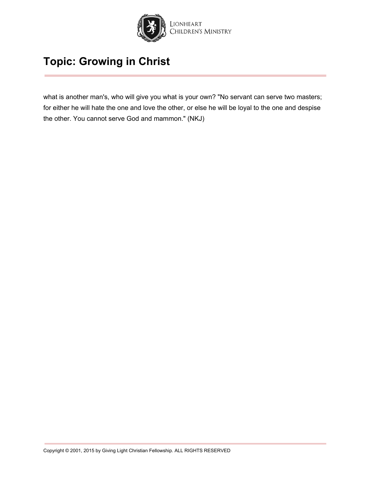

what is another man's, who will give you what is your own? "No servant can serve two masters; for either he will hate the one and love the other, or else he will be loyal to the one and despise the other. You cannot serve God and mammon." (NKJ)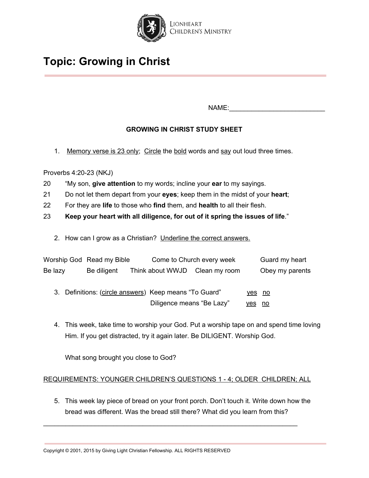

NAME:

### **GROWING IN CHRIST STUDY SHEET**

1. Memory verse is  $23$  only; Circle the bold words and say out loud three times.

Proverbs 4:20-23 (NKJ)

- 20 "My son, **give attention** to my words; incline your **ear** to my sayings.
- 21 Do not let them depart from your **eyes**; keep them in the midst of your **heart**;
- 22 For they are **life** to those who **find** them, and **health** to all their flesh.
- 23 **Keep your heart with all diligence, for out of it spring the issues of life**."
	- 2. How can I grow as a Christian? Underline the correct answers.

|         | Worship God Read my Bible |                                                                                     | Come to Church every week |                         | Guard my heart  |
|---------|---------------------------|-------------------------------------------------------------------------------------|---------------------------|-------------------------|-----------------|
| Be lazy | Be diligent               | Think about WWJD Clean my room                                                      |                           |                         | Obey my parents |
|         |                           | 3. Definitions: (circle answers) Keep means "To Guard"<br>Diligence means "Be Lazy" |                           | yes no<br><u>yes no</u> |                 |

4. This week, take time to worship your God. Put a worship tape on and spend time loving Him. If you get distracted, try it again later. Be DILIGENT. Worship God.

What song brought you close to God?

### REQUIREMENTS: YOUNGER CHILDREN'S QUESTIONS 1 - 4; OLDER CHILDREN; ALL

\_\_\_\_\_\_\_\_\_\_\_\_\_\_\_\_\_\_\_\_\_\_\_\_\_\_\_\_\_\_\_\_\_\_\_\_\_\_\_\_\_\_\_\_\_\_\_\_\_\_\_\_\_\_\_\_\_\_\_\_\_\_\_\_\_\_\_\_\_

5. This week lay piece of bread on your front porch. Don't touch it. Write down how the bread was different. Was the bread still there? What did you learn from this?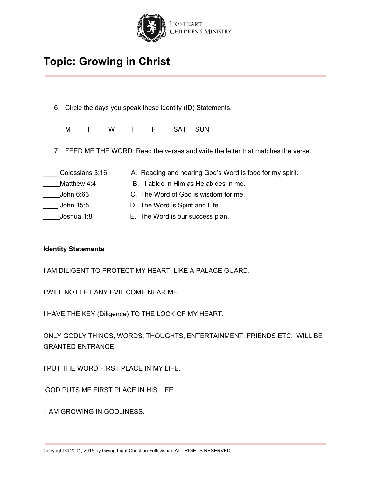

- 6. Circle the days you speak these identity (ID) Statements.
	- M T W T F SAT SUN
- 7. FEED ME THE WORD: Read the verses and write the letter that matches the verse.

| Colossians 3:16 |
|-----------------|
| Matthew 4:4     |
| John 6:63       |
| John 15:5       |
| Joshua 1:8      |

- A. Reading and hearing God's Word is food for my spirit. B. I abide in Him as He abides in me.
- C. The Word of God is wisdom for me.
- D. The Word is Spirit and Life.
- E. The Word is our success plan.

#### **Identity Statements**

I AM DILIGENT TO PROTECT MY HEART, LIKE A PALACE GUARD.

I WILL NOT LET ANY EVIL COME NEAR ME.

I HAVE THE KEY (Diligence) TO THE LOCK OF MY HEART.

ONLY GODLY THINGS, WORDS, THOUGHTS, ENTERTAINMENT, FRIENDS ETC. WILL BE GRANTED ENTRANCE.

I PUT THE WORD FIRST PLACE IN MY LIFE.

GOD PUTS ME FIRST PLACE IN HIS LIFE.

I AM GROWING IN GODLINESS.